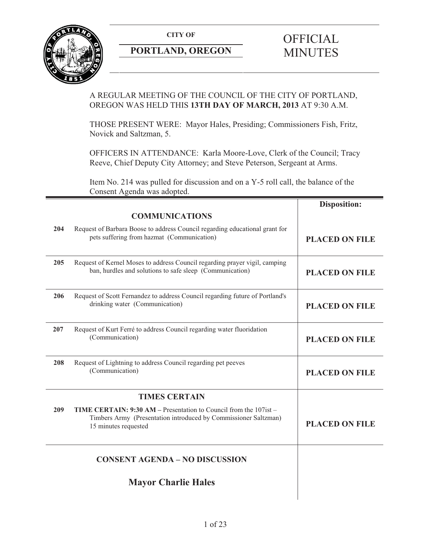**CITY OF** 



# **PORTLAND, OREGON**

# A REGULAR MEETING OF THE COUNCIL OF THE CITY OF PORTLAND, OREGON WAS HELD THIS **13TH DAY OF MARCH, 2013** AT 9:30 A.M.

THOSE PRESENT WERE: Mayor Hales, Presiding; Commissioners Fish, Fritz, Novick and Saltzman, 5.

OFFICERS IN ATTENDANCE: Karla Moore-Love, Clerk of the Council; Tracy Reeve, Chief Deputy City Attorney; and Steve Peterson, Sergeant at Arms.

Item No. 214 was pulled for discussion and on a Y-5 roll call, the balance of the Consent Agenda was adopted.

|     |                                                                                                                                                              | <b>Disposition:</b>   |
|-----|--------------------------------------------------------------------------------------------------------------------------------------------------------------|-----------------------|
|     | <b>COMMUNICATIONS</b>                                                                                                                                        |                       |
| 204 | Request of Barbara Boose to address Council regarding educational grant for<br>pets suffering from hazmat (Communication)                                    | <b>PLACED ON FILE</b> |
| 205 | Request of Kernel Moses to address Council regarding prayer vigil, camping<br>ban, hurdles and solutions to safe sleep (Communication)                       | <b>PLACED ON FILE</b> |
| 206 | Request of Scott Fernandez to address Council regarding future of Portland's<br>drinking water (Communication)                                               | <b>PLACED ON FILE</b> |
| 207 | Request of Kurt Ferré to address Council regarding water fluoridation<br>(Communication)                                                                     | <b>PLACED ON FILE</b> |
| 208 | Request of Lightning to address Council regarding pet peeves<br>(Communication)                                                                              | <b>PLACED ON FILE</b> |
|     | <b>TIMES CERTAIN</b>                                                                                                                                         |                       |
| 209 | TIME CERTAIN: 9:30 AM - Presentation to Council from the 107ist -<br>Timbers Army (Presentation introduced by Commissioner Saltzman)<br>15 minutes requested | <b>PLACED ON FILE</b> |
|     | <b>CONSENT AGENDA - NO DISCUSSION</b>                                                                                                                        |                       |
|     | <b>Mayor Charlie Hales</b>                                                                                                                                   |                       |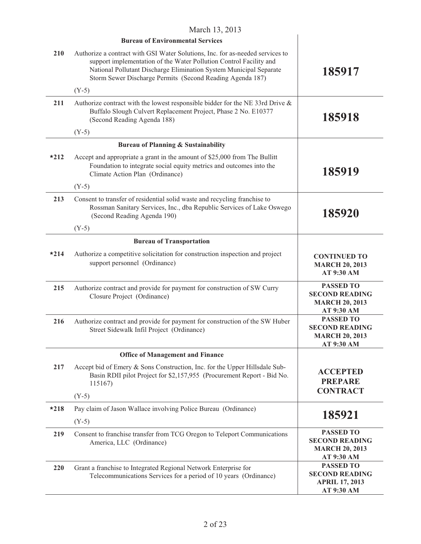|        | March 13, 2013                                                                                                                                                                                                                                                                         |                                                                                  |
|--------|----------------------------------------------------------------------------------------------------------------------------------------------------------------------------------------------------------------------------------------------------------------------------------------|----------------------------------------------------------------------------------|
|        | <b>Bureau of Environmental Services</b>                                                                                                                                                                                                                                                |                                                                                  |
| 210    | Authorize a contract with GSI Water Solutions, Inc. for as-needed services to<br>support implementation of the Water Pollution Control Facility and<br>National Pollutant Discharge Elimination System Municipal Separate<br>Storm Sewer Discharge Permits (Second Reading Agenda 187) | 185917                                                                           |
|        | $(Y-5)$                                                                                                                                                                                                                                                                                |                                                                                  |
| 211    | Authorize contract with the lowest responsible bidder for the NE 33rd Drive $\&$<br>Buffalo Slough Culvert Replacement Project, Phase 2 No. E10377<br>(Second Reading Agenda 188)                                                                                                      | 185918                                                                           |
|        | $(Y-5)$                                                                                                                                                                                                                                                                                |                                                                                  |
|        | <b>Bureau of Planning &amp; Sustainability</b>                                                                                                                                                                                                                                         |                                                                                  |
| $*212$ | Accept and appropriate a grant in the amount of \$25,000 from The Bullitt<br>Foundation to integrate social equity metrics and outcomes into the<br>Climate Action Plan (Ordinance)                                                                                                    | 185919                                                                           |
|        | $(Y-5)$                                                                                                                                                                                                                                                                                |                                                                                  |
| 213    | Consent to transfer of residential solid waste and recycling franchise to<br>Rossman Sanitary Services, Inc., dba Republic Services of Lake Oswego<br>(Second Reading Agenda 190)                                                                                                      | 185920                                                                           |
|        | $(Y-5)$                                                                                                                                                                                                                                                                                |                                                                                  |
|        | <b>Bureau of Transportation</b>                                                                                                                                                                                                                                                        |                                                                                  |
| $*214$ | Authorize a competitive solicitation for construction inspection and project<br>support personnel (Ordinance)                                                                                                                                                                          | <b>CONTINUED TO</b><br><b>MARCH 20, 2013</b><br>AT 9:30 AM                       |
| 215    | Authorize contract and provide for payment for construction of SW Curry<br>Closure Project (Ordinance)                                                                                                                                                                                 | <b>PASSED TO</b><br><b>SECOND READING</b><br><b>MARCH 20, 2013</b><br>AT 9:30 AM |
| 216    | Authorize contract and provide for payment for construction of the SW Huber<br>Street Sidewalk Infil Project (Ordinance)                                                                                                                                                               | <b>PASSED TO</b><br><b>SECOND READING</b><br><b>MARCH 20, 2013</b><br>AT 9:30 AM |
|        | <b>Office of Management and Finance</b>                                                                                                                                                                                                                                                |                                                                                  |
| 217    | Accept bid of Emery & Sons Construction, Inc. for the Upper Hillsdale Sub-<br>Basin RDII pilot Project for \$2,157,955 (Procurement Report - Bid No.<br>115167)                                                                                                                        | <b>ACCEPTED</b><br><b>PREPARE</b><br><b>CONTRACT</b>                             |
|        | $(Y-5)$                                                                                                                                                                                                                                                                                |                                                                                  |
| $*218$ | Pay claim of Jason Wallace involving Police Bureau (Ordinance)                                                                                                                                                                                                                         | 185921                                                                           |
|        | $(Y-5)$                                                                                                                                                                                                                                                                                |                                                                                  |
| 219    | Consent to franchise transfer from TCG Oregon to Teleport Communications<br>America, LLC (Ordinance)                                                                                                                                                                                   | <b>PASSED TO</b><br><b>SECOND READING</b><br><b>MARCH 20, 2013</b><br>AT 9:30 AM |
| 220    | Grant a franchise to Integrated Regional Network Enterprise for<br>Telecommunications Services for a period of 10 years (Ordinance)                                                                                                                                                    | <b>PASSED TO</b><br><b>SECOND READING</b><br><b>APRIL 17, 2013</b><br>AT 9:30 AM |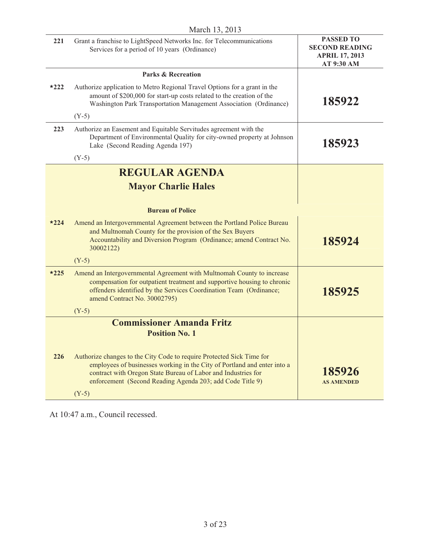| 221    | Grant a franchise to LightSpeed Networks Inc. for Telecommunications<br>Services for a period of 10 years (Ordinance)                                                                                                                                                                      | <b>PASSED TO</b><br><b>SECOND READING</b><br><b>APRIL 17, 2013</b><br>AT 9:30 AM |
|--------|--------------------------------------------------------------------------------------------------------------------------------------------------------------------------------------------------------------------------------------------------------------------------------------------|----------------------------------------------------------------------------------|
|        | <b>Parks &amp; Recreation</b>                                                                                                                                                                                                                                                              |                                                                                  |
| $*222$ | Authorize application to Metro Regional Travel Options for a grant in the<br>amount of \$200,000 for start-up costs related to the creation of the<br>Washington Park Transportation Management Association (Ordinance)                                                                    | 185922                                                                           |
|        | $(Y-5)$                                                                                                                                                                                                                                                                                    |                                                                                  |
| 223    | Authorize an Easement and Equitable Servitudes agreement with the<br>Department of Environmental Quality for city-owned property at Johnson<br>Lake (Second Reading Agenda 197)                                                                                                            | 185923                                                                           |
|        | $(Y-5)$                                                                                                                                                                                                                                                                                    |                                                                                  |
|        | <b>REGULAR AGENDA</b>                                                                                                                                                                                                                                                                      |                                                                                  |
|        | <b>Mayor Charlie Hales</b>                                                                                                                                                                                                                                                                 |                                                                                  |
|        |                                                                                                                                                                                                                                                                                            |                                                                                  |
|        | <b>Bureau of Police</b>                                                                                                                                                                                                                                                                    |                                                                                  |
| $*224$ | Amend an Intergovernmental Agreement between the Portland Police Bureau<br>and Multnomah County for the provision of the Sex Buyers<br>Accountability and Diversion Program (Ordinance; amend Contract No.<br>30002122)                                                                    | 185924                                                                           |
|        | $(Y-5)$                                                                                                                                                                                                                                                                                    |                                                                                  |
| $*225$ | Amend an Intergovernmental Agreement with Multnomah County to increase<br>compensation for outpatient treatment and supportive housing to chronic<br>offenders identified by the Services Coordination Team (Ordinance;<br>amend Contract No. 30002795)                                    | 185925                                                                           |
|        | $(Y-5)$                                                                                                                                                                                                                                                                                    |                                                                                  |
|        | <b>Commissioner Amanda Fritz</b>                                                                                                                                                                                                                                                           |                                                                                  |
|        | <b>Position No. 1</b>                                                                                                                                                                                                                                                                      |                                                                                  |
| 226    | Authorize changes to the City Code to require Protected Sick Time for<br>employees of businesses working in the City of Portland and enter into a<br>contract with Oregon State Bureau of Labor and Industries for<br>enforcement (Second Reading Agenda 203; add Code Title 9)<br>$(Y-5)$ | 185926<br><b>AS AMENDED</b>                                                      |
|        |                                                                                                                                                                                                                                                                                            |                                                                                  |

At 10:47 a.m., Council recessed.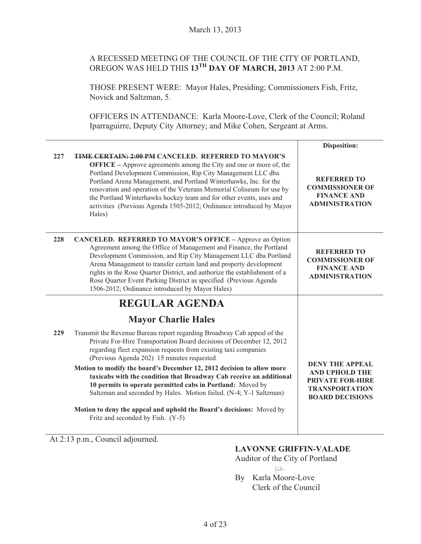# A RECESSED MEETING OF THE COUNCIL OF THE CITY OF PORTLAND, OREGON WAS HELD THIS **13TH DAY OF MARCH, 2013** AT 2:00 P.M.

THOSE PRESENT WERE: Mayor Hales, Presiding; Commissioners Fish, Fritz, Novick and Saltzman, 5.

OFFICERS IN ATTENDANCE: Karla Moore-Love, Clerk of the Council; Roland Iparraguirre, Deputy City Attorney; and Mike Cohen, Sergeant at Arms.

|     |                                                                                                                                                                                                                                                                                                                                                                                                                                                                                                                | Disposition:                                                                                                                  |
|-----|----------------------------------------------------------------------------------------------------------------------------------------------------------------------------------------------------------------------------------------------------------------------------------------------------------------------------------------------------------------------------------------------------------------------------------------------------------------------------------------------------------------|-------------------------------------------------------------------------------------------------------------------------------|
| 227 | <b>TIME CERTAIN: 2:00 PM CANCELED. REFERRED TO MAYOR'S</b><br><b>OFFICE</b> – Approve agreements among the City and one or more of, the<br>Portland Development Commission, Rip City Management LLC dba<br>Portland Arena Management, and Portland Winterhawks, Inc. for the<br>renovation and operation of the Veterans Memorial Coliseum for use by<br>the Portland Winterhawks hockey team and for other events, uses and<br>activities (Previous Agenda 1505-2012; Ordinance introduced by Mayor<br>Hales) | <b>REFERRED TO</b><br><b>COMMISSIONER OF</b><br><b>FINANCE AND</b><br><b>ADMINISTRATION</b>                                   |
| 228 | <b>CANCELED. REFERRED TO MAYOR'S OFFICE - Approve an Option</b><br>Agreement among the Office of Management and Finance, the Portland<br>Development Commission, and Rip City Management LLC dba Portland<br>Arena Management to transfer certain land and property development<br>rights in the Rose Quarter District, and authorize the establishment of a<br>Rose Quarter Event Parking District as specified (Previous Agenda<br>1506-2012; Ordinance introduced by Mayor Hales)                           | <b>REFERRED TO</b><br><b>COMMISSIONER OF</b><br><b>FINANCE AND</b><br><b>ADMINISTRATION</b>                                   |
|     | <b>REGULAR AGENDA</b>                                                                                                                                                                                                                                                                                                                                                                                                                                                                                          |                                                                                                                               |
|     | <b>Mayor Charlie Hales</b>                                                                                                                                                                                                                                                                                                                                                                                                                                                                                     |                                                                                                                               |
| 229 | Transmit the Revenue Bureau report regarding Broadway Cab appeal of the<br>Private For-Hire Transportation Board decisions of December 12, 2012<br>regarding fleet expansion requests from existing taxi companies<br>(Previous Agenda 202) 15 minutes requested                                                                                                                                                                                                                                               |                                                                                                                               |
|     | Motion to modify the board's December 12, 2012 decision to allow more<br>taxicabs with the condition that Broadway Cab receive an additional<br>10 permits to operate permitted cabs in Portland: Moved by<br>Saltzman and seconded by Hales. Motion failed. (N-4; Y-1 Saltzman)                                                                                                                                                                                                                               | <b>DENY THE APPEAL</b><br><b>AND UPHOLD THE</b><br><b>PRIVATE FOR-HIRE</b><br><b>TRANSPORTATION</b><br><b>BOARD DECISIONS</b> |
|     | Motion to deny the appeal and uphold the Board's decisions: Moved by<br>Fritz and seconded by Fish. (Y-5)                                                                                                                                                                                                                                                                                                                                                                                                      |                                                                                                                               |

At 2:13 p.m., Council adjourned.

#### **LAVONNE GRIFFIN-VALADE**

Auditor of the City of Portland  $\kappa$ ll

By Karla Moore-Love Clerk of the Council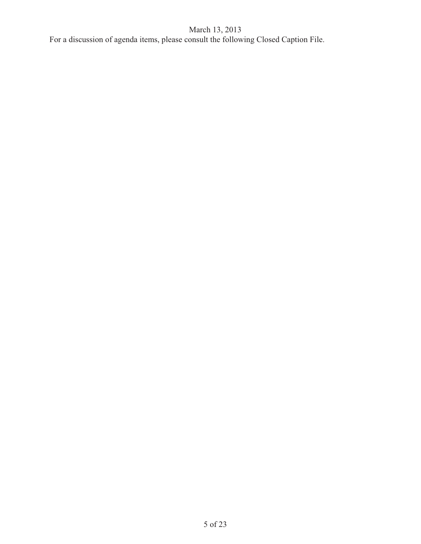For a discussion of agenda items, please consult the following Closed Caption File.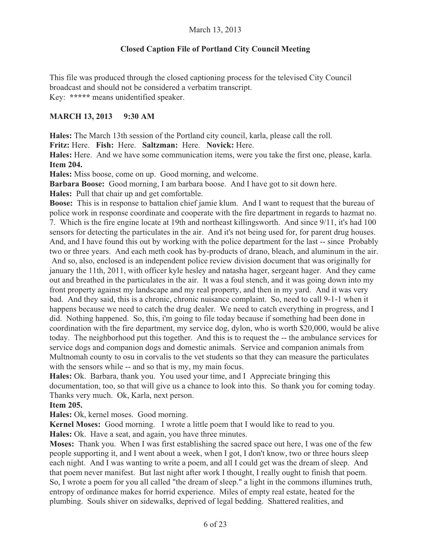# **Closed Caption File of Portland City Council Meeting**

This file was produced through the closed captioning process for the televised City Council broadcast and should not be considered a verbatim transcript. Key: **\*\*\*\*\*** means unidentified speaker.

### **MARCH 13, 2013 9:30 AM**

**Hales:** The March 13th session of the Portland city council, karla, please call the roll.

**Fritz:** Here. **Fish:** Here. **Saltzman:** Here. **Novick:** Here.

**Hales:** Here. And we have some communication items, were you take the first one, please, karla. **Item 204.** 

**Hales:** Miss boose, come on up. Good morning, and welcome.

**Barbara Boose:** Good morning, I am barbara boose. And I have got to sit down here.

**Hales:** Pull that chair up and get comfortable.

**Boose:** This is in response to battalion chief jamie klum. And I want to request that the bureau of police work in response coordinate and cooperate with the fire department in regards to hazmat no. 7. Which is the fire engine locate at 19th and northeast killingsworth. And since 9/11, it's had 100 sensors for detecting the particulates in the air. And it's not being used for, for parent drug houses. And, and I have found this out by working with the police department for the last -- since Probably two or three years. And each meth cook has by-products of drano, bleach, and aluminum in the air. And so, also, enclosed is an independent police review division document that was originally for january the 11th, 2011, with officer kyle hesley and natasha hager, sergeant hager. And they came out and breathed in the particulates in the air. It was a foul stench, and it was going down into my front property against my landscape and my real property, and then in my yard. And it was very bad. And they said, this is a chronic, chronic nuisance complaint. So, need to call 9-1-1 when it happens because we need to catch the drug dealer. We need to catch everything in progress, and I did. Nothing happened. So, this, i'm going to file today because if something had been done in coordination with the fire department, my service dog, dylon, who is worth \$20,000, would be alive today. The neighborhood put this together. And this is to request the -- the ambulance services for service dogs and companion dogs and domestic animals. Service and companion animals from Multnomah county to osu in corvalis to the vet students so that they can measure the particulates with the sensors while -- and so that is my, my main focus.

**Hales:** Ok. Barbara, thank you. You used your time, and I Appreciate bringing this documentation, too, so that will give us a chance to look into this. So thank you for coming today. Thanks very much. Ok, Karla, next person.

#### **Item 205.**

**Hales:** Ok, kernel moses. Good morning.

**Kernel Moses:** Good morning. I wrote a little poem that I would like to read to you.

**Hales:** Ok. Have a seat, and again, you have three minutes.

**Moses:** Thank you. When I was first establishing the sacred space out here, I was one of the few people supporting it, and I went about a week, when I got, I don't know, two or three hours sleep each night. And I was wanting to write a poem, and all I could get was the dream of sleep. And that poem never manifest. But last night after work I thought, I really ought to finish that poem. So, I wrote a poem for you all called "the dream of sleep." a light in the commons illumines truth, entropy of ordinance makes for horrid experience. Miles of empty real estate, heated for the plumbing. Souls shiver on sidewalks, deprived of legal bedding. Shattered realities, and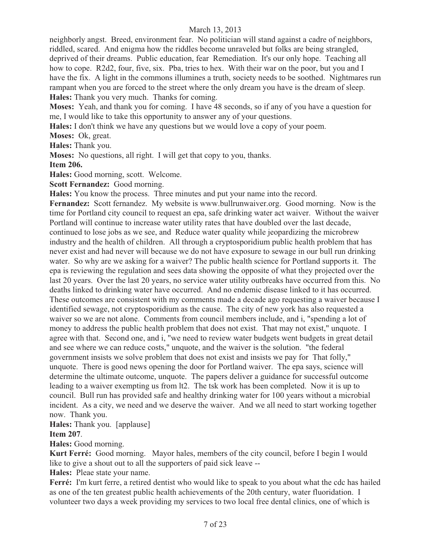neighborly angst. Breed, environment fear. No politician will stand against a cadre of neighbors, riddled, scared. And enigma how the riddles become unraveled but folks are being strangled, deprived of their dreams. Public education, fear Remediation. It's our only hope. Teaching all how to cope. R2d2, four, five, six. Pba, tries to hex. With their war on the poor, but you and I have the fix. A light in the commons illumines a truth, society needs to be soothed. Nightmares run rampant when you are forced to the street where the only dream you have is the dream of sleep. **Hales:** Thank you very much. Thanks for coming.

**Moses:** Yeah, and thank you for coming. I have 48 seconds, so if any of you have a question for me, I would like to take this opportunity to answer any of your questions.

**Hales:** I don't think we have any questions but we would love a copy of your poem.

**Moses:** Ok, great.

**Hales:** Thank you.

**Moses:** No questions, all right. I will get that copy to you, thanks.

**Item 206.** 

**Hales:** Good morning, scott. Welcome.

**Scott Fernandez:** Good morning.

**Hales:** You know the process. Three minutes and put your name into the record.

**Fernandez:** Scott fernandez. My website is www.bullrunwaiver.org. Good morning. Now is the time for Portland city council to request an epa, safe drinking water act waiver. Without the waiver Portland will continue to increase water utility rates that have doubled over the last decade, continued to lose jobs as we see, and Reduce water quality while jeopardizing the microbrew industry and the health of children. All through a cryptosporidium public health problem that has never exist and had never will because we do not have exposure to sewage in our bull run drinking water. So why are we asking for a waiver? The public health science for Portland supports it. The epa is reviewing the regulation and sees data showing the opposite of what they projected over the last 20 years. Over the last 20 years, no service water utility outbreaks have occurred from this. No deaths linked to drinking water have occurred. And no endemic disease linked to it has occurred. These outcomes are consistent with my comments made a decade ago requesting a waiver because I identified sewage, not cryptosporidium as the cause. The city of new york has also requested a waiver so we are not alone. Comments from council members include, and i, "spending a lot of money to address the public health problem that does not exist. That may not exist," unquote. I agree with that. Second one, and i, "we need to review water budgets went budgets in great detail and see where we can reduce costs," unquote, and the waiver is the solution. "the federal government insists we solve problem that does not exist and insists we pay for That folly," unquote. There is good news opening the door for Portland waiver. The epa says, science will determine the ultimate outcome, unquote. The papers deliver a guidance for successful outcome leading to a waiver exempting us from lt2. The tsk work has been completed. Now it is up to council. Bull run has provided safe and healthy drinking water for 100 years without a microbial incident. As a city, we need and we deserve the waiver. And we all need to start working together now. Thank you.

#### **Hales:** Thank you. [applause]

#### **Item 207**.

**Hales:** Good morning.

**Kurt Ferré:** Good morning. Mayor hales, members of the city council, before I begin I would like to give a shout out to all the supporters of paid sick leave --

**Hales:** Pleae state your name.

**Ferré:** I'm kurt ferre, a retired dentist who would like to speak to you about what the cdc has hailed as one of the ten greatest public health achievements of the 20th century, water fluoridation. I volunteer two days a week providing my services to two local free dental clinics, one of which is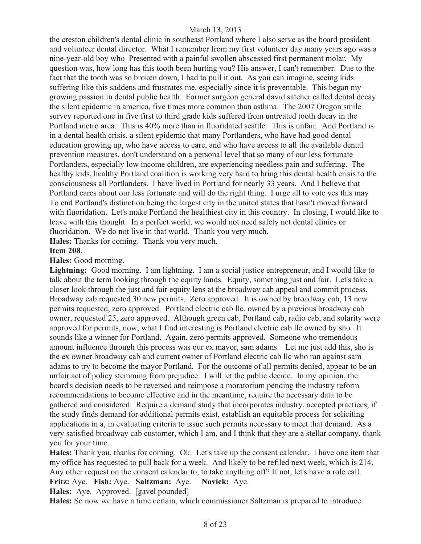the creston children's dental clinic in southeast Portland where I also serve as the board president and volunteer dental director. What I remember from my first volunteer day many years ago was a nine-year-old boy who Presented with a painful swollen abscessed first permanent molar. My question was, how long has this tooth been hurting you? His answer, I can't remember. Due to the fact that the tooth was so broken down, I had to pull it out. As you can imagine, seeing kids suffering like this saddens and frustrates me, especially since it is preventable. This began my growing passion in dental public health. Former surgeon general david satcher called dental decay the silent epidemic in america, five times more common than asthma. The 2007 Oregon smile survey reported one in five first to third grade kids suffered from untreated tooth decay in the Portland metro area. This is 40% more than in fluoridated seattle. This is unfair. And Portland is in a dental health crisis, a silent epidemic that many Portlanders, who have had good dental education growing up, who have access to care, and who have access to all the available dental prevention measures, don't understand on a personal level that so many of our less fortunate Portlanders, especially low income children, are experiencing needless pain and suffering. The healthy kids, healthy Portland coalition is working very hard to bring this dental health crisis to the consciousness all Portlanders. I have lived in Portland for nearly 33 years. And I believe that Portland cares about our less fortunate and will do the right thing. I urge all to vote yes this may To end Portland's distinction being the largest city in the united states that hasn't moved forward with fluoridation. Let's make Portland the healthiest city in this country. In closing, I would like to leave with this thought. In a perfect world, we would not need safety net dental clinics or fluoridation. We do not live in that world. Thank you very much.

**Hales:** Thanks for coming. Thank you very much.

#### **Item 208**.

#### **Hales:** Good morning.

**Lightning:** Good morning. I am lightning. I am a social justice entrepreneur, and I would like to talk about the term looking through the equity lands. Equity, something just and fair. Let's take a closer look through the just and fair equity lens at the broadway cab appeal and commit process. Broadway cab requested 30 new permits. Zero approved. It is owned by broadway cab, 13 new permits requested, zero approved. Portland electric cab llc, owned by a previous broadway cab owner, requested 25, zero approved. Although green cab, Portland cab, radio cab, and solarity were approved for permits, now, what I find interesting is Portland electric cab llc owned by sho. It sounds like a winner for Portland. Again, zero permits approved. Someone who tremendous amount influence through this process was our ex mayor, sam adams. Let me just add this, sho is the ex owner broadway cab and current owner of Portland electric cab llc who ran against sam adams to try to become the mayor Portland. For the outcome of all permits denied, appear to be an unfair act of policy stemming from prejudice. I will let the public decide. In my opinion, the board's decision needs to be reversed and reimpose a moratorium pending the industry reform recommendations to become effective and in the meantime, require the necessary data to be gathered and considered. Require a demand study that incorporates industry, accepted practices, if the study finds demand for additional permits exist, establish an equitable process for soliciting applications in a, in evaluating criteria to issue such permits necessary to meet that demand. As a very satisfied broadway cab customer, which I am, and I think that they are a stellar company, thank you for your time.

**Hales:** Thank you, thanks for coming. Ok. Let's take up the consent calendar. I have one item that my office has requested to pull back for a week. And likely to be refiled next week, which is 214. Any other request on the consent calendar to, to take anything off? If not, let's have a role call. **Fritz:** Aye. **Fish:** Aye. **Saltzman:** Aye. **Novick:** Aye. **Hales:** Aye. Approved. [gavel pounded]

**Hales:** So now we have a time certain, which commissioner Saltzman is prepared to introduce.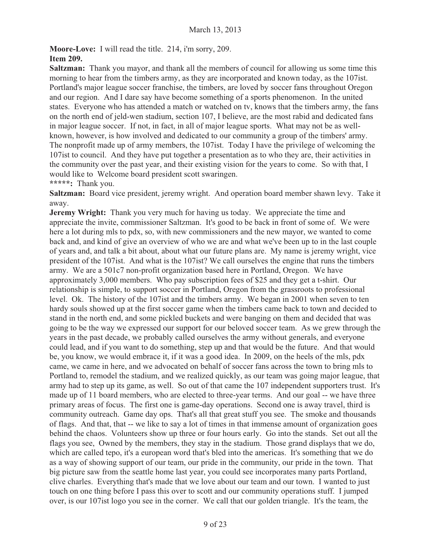**Moore-Love:** I will read the title. 214, i'm sorry, 209. **Item 209.**

**Saltzman:** Thank you mayor, and thank all the members of council for allowing us some time this morning to hear from the timbers army, as they are incorporated and known today, as the 107ist. Portland's major league soccer franchise, the timbers, are loved by soccer fans throughout Oregon and our region. And I dare say have become something of a sports phenomenon. In the united states. Everyone who has attended a match or watched on tv, knows that the timbers army, the fans on the north end of jeld-wen stadium, section 107, I believe, are the most rabid and dedicated fans in major league soccer. If not, in fact, in all of major league sports. What may not be as wellknown, however, is how involved and dedicated to our community a group of the timbers' army. The nonprofit made up of army members, the 107ist. Today I have the privilege of welcoming the 107ist to council. And they have put together a presentation as to who they are, their activities in the community over the past year, and their existing vision for the years to come. So with that, I would like to Welcome board president scott swaringen. **\*\*\*\*\*:** Thank you.

**Saltzman:** Board vice president, jeremy wright. And operation board member shawn levy. Take it away.

**Jeremy Wright:** Thank you very much for having us today. We appreciate the time and appreciate the invite, commissioner Saltzman. It's good to be back in front of some of. We were here a lot during mls to pdx, so, with new commissioners and the new mayor, we wanted to come back and, and kind of give an overview of who we are and what we've been up to in the last couple of years and, and talk a bit about, about what our future plans are. My name is jeremy wright, vice president of the 107ist. And what is the 107ist? We call ourselves the engine that runs the timbers army. We are a 501c7 non-profit organization based here in Portland, Oregon. We have approximately 3,000 members. Who pay subscription fees of \$25 and they get a t-shirt. Our relationship is simple, to support soccer in Portland, Oregon from the grassroots to professional level. Ok. The history of the 107ist and the timbers army. We began in 2001 when seven to ten hardy souls showed up at the first soccer game when the timbers came back to town and decided to stand in the north end, and some pickled buckets and were banging on them and decided that was going to be the way we expressed our support for our beloved soccer team. As we grew through the years in the past decade, we probably called ourselves the army without generals, and everyone could lead, and if you want to do something, step up and that would be the future. And that would be, you know, we would embrace it, if it was a good idea. In 2009, on the heels of the mls, pdx came, we came in here, and we advocated on behalf of soccer fans across the town to bring mls to Portland to, remodel the stadium, and we realized quickly, as our team was going major league, that army had to step up its game, as well. So out of that came the 107 independent supporters trust. It's made up of 11 board members, who are elected to three-year terms. And our goal -- we have three primary areas of focus. The first one is game-day operations. Second one is away travel, third is community outreach. Game day ops. That's all that great stuff you see. The smoke and thousands of flags. And that, that -- we like to say a lot of times in that immense amount of organization goes behind the chaos. Volunteers show up three or four hours early. Go into the stands. Set out all the flags you see, Owned by the members, they stay in the stadium. Those grand displays that we do, which are called tepo, it's a european word that's bled into the americas. It's something that we do as a way of showing support of our team, our pride in the community, our pride in the town. That big picture saw from the seattle home last year, you could see incorporates many parts Portland, clive charles. Everything that's made that we love about our team and our town. I wanted to just touch on one thing before I pass this over to scott and our community operations stuff. I jumped over, is our 107ist logo you see in the corner. We call that our golden triangle. It's the team, the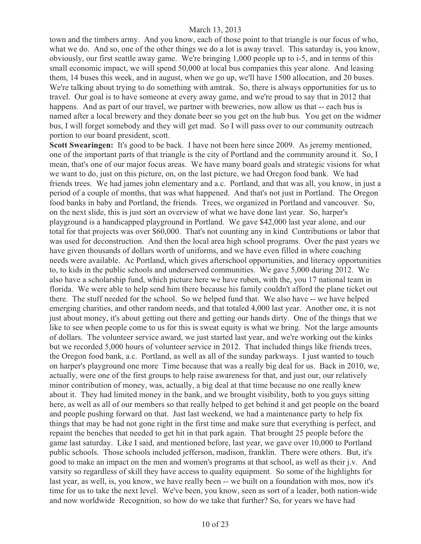town and the timbers army. And you know, each of those point to that triangle is our focus of who, what we do. And so, one of the other things we do a lot is away travel. This saturday is, you know, obviously, our first seattle away game. We're bringing 1,000 people up to i-5, and in terms of this small economic impact, we will spend 50,000 at local bus companies this year alone. And leasing them, 14 buses this week, and in august, when we go up, we'll have 1500 allocation, and 20 buses. We're talking about trying to do something with amtrak. So, there is always opportunities for us to travel. Our goal is to have someone at every away game, and we're proud to say that in 2012 that happens. And as part of our travel, we partner with breweries, now allow us that -- each bus is named after a local brewery and they donate beer so you get on the hub bus. You get on the widmer bus, I will forget somebody and they will get mad. So I will pass over to our community outreach portion to our board president, scott.

**Scott Swearingen:** It's good to be back. I have not been here since 2009. As jeremy mentioned, one of the important parts of that triangle is the city of Portland and the community around it. So, I mean, that's one of our major focus areas. We have many board goals and strategic visions for what we want to do, just on this picture, on, on the last picture, we had Oregon food bank. We had friends trees. We had james john elementary and a.c. Portland, and that was all, you know, in just a period of a couple of months, that was what happened. And that's not just in Portland. The Oregon food banks in baby and Portland, the friends. Trees, we organized in Portland and vancouver. So, on the next slide, this is just sort an overview of what we have done last year. So, harper's playground is a handicapped playground in Portland. We gave \$42,000 last year alone, and our total for that projects was over \$60,000. That's not counting any in kind Contributions or labor that was used for deconstruction. And then the local area high school programs. Over the past years we have given thousands of dollars worth of uniforms, and we have even filled in where coaching needs were available. Ac Portland, which gives afterschool opportunities, and literacy opportunities to, to kids in the public schools and underserved communities. We gave 5,000 during 2012. We also have a scholarship fund, which picture here we have ruben, with the, you 17 national team in florida. We were able to help send him there because his family couldn't afford the plane ticket out there. The stuff needed for the school. So we helped fund that. We also have -- we have helped emerging charities, and other random needs, and that totaled 4,000 last year. Another one, it is not just about money, it's about getting out there and getting our hands dirty. One of the things that we like to see when people come to us for this is sweat equity is what we bring. Not the large amounts of dollars. The volunteer service award, we just started last year, and we're working out the kinks but we recorded 5,000 hours of volunteer service in 2012. That included things like friends trees, the Oregon food bank, a.c. Portland, as well as all of the sunday parkways. I just wanted to touch on harper's playground one more Time because that was a really big deal for us. Back in 2010, we, actually, were one of the first groups to help raise awareness for that, and just our, our relatively minor contribution of money, was, actually, a big deal at that time because no one really knew about it. They had limited money in the bank, and we brought visibility, both to you guys sitting here, as well as all of our members so that really helped to get behind it and get people on the board and people pushing forward on that. Just last weekend, we had a maintenance party to help fix things that may be had not gone right in the first time and make sure that everything is perfect, and repaint the benches that needed to get hit in that park again. That brought 25 people before the game last saturday. Like I said, and mentioned before, last year, we gave over 10,000 to Portland public schools. Those schools included jefferson, madison, franklin. There were others. But, it's good to make an impact on the men and women's programs at that school, as well as their j.v. And varsity so regardless of skill they have access to quality equipment. So some of the highlights for last year, as well, is, you know, we have really been -- we built on a foundation with mos, now it's time for us to take the next level. We've been, you know, seen as sort of a leader, both nation-wide and now worldwide Recognition, so how do we take that further? So, for years we have had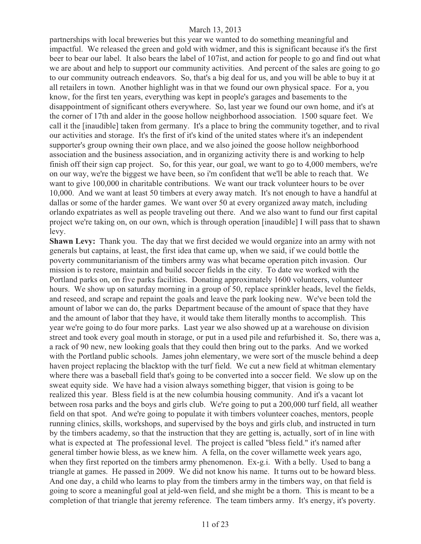partnerships with local breweries but this year we wanted to do something meaningful and impactful. We released the green and gold with widmer, and this is significant because it's the first beer to bear our label. It also bears the label of 107ist, and action for people to go and find out what we are about and help to support our community activities. And percent of the sales are going to go to our community outreach endeavors. So, that's a big deal for us, and you will be able to buy it at all retailers in town. Another highlight was in that we found our own physical space. For a, you know, for the first ten years, everything was kept in people's garages and basements to the disappointment of significant others everywhere. So, last year we found our own home, and it's at the corner of 17th and alder in the goose hollow neighborhood association. 1500 square feet. We call it the [inaudible] taken from germany. It's a place to bring the community together, and to rival our activities and storage. It's the first of it's kind of the united states where it's an independent supporter's group owning their own place, and we also joined the goose hollow neighborhood association and the business association, and in organizing activity there is and working to help finish off their sign cap project. So, for this year, our goal, we want to go to 4,000 members, we're on our way, we're the biggest we have been, so i'm confident that we'll be able to reach that. We want to give 100,000 in charitable contributions. We want our track volunteer hours to be over 10,000. And we want at least 50 timbers at every away match. It's not enough to have a handful at dallas or some of the harder games. We want over 50 at every organized away match, including orlando expatriates as well as people traveling out there. And we also want to fund our first capital project we're taking on, on our own, which is through operation [inaudible] I will pass that to shawn levy.

**Shawn Levy:** Thank you. The day that we first decided we would organize into an army with not generals but captains, at least, the first idea that came up, when we said, if we could bottle the poverty communitarianism of the timbers army was what became operation pitch invasion. Our mission is to restore, maintain and build soccer fields in the city. To date we worked with the Portland parks on, on five parks facilities. Donating approximately 1600 volunteers, volunteer hours. We show up on saturday morning in a group of 50, replace sprinkler heads, level the fields, and reseed, and scrape and repaint the goals and leave the park looking new. We've been told the amount of labor we can do, the parks Department because of the amount of space that they have and the amount of labor that they have, it would take them literally months to accomplish. This year we're going to do four more parks. Last year we also showed up at a warehouse on division street and took every goal mouth in storage, or put in a used pile and refurbished it. So, there was a, a rack of 90 new, new looking goals that they could then bring out to the parks. And we worked with the Portland public schools. James john elementary, we were sort of the muscle behind a deep haven project replacing the blacktop with the turf field. We cut a new field at whitman elementary where there was a baseball field that's going to be converted into a soccer field. We slow up on the sweat equity side. We have had a vision always something bigger, that vision is going to be realized this year. Bless field is at the new columbia housing community. And it's a vacant lot between rosa parks and the boys and girls club. We're going to put a 200,000 turf field, all weather field on that spot. And we're going to populate it with timbers volunteer coaches, mentors, people running clinics, skills, workshops, and supervised by the boys and girls club, and instructed in turn by the timbers academy, so that the instruction that they are getting is, actually, sort of in line with what is expected at The professional level. The project is called "bless field." it's named after general timber howie bless, as we knew him. A fella, on the cover willamette week years ago, when they first reported on the timbers army phenomenon. Ex-g.i. With a belly. Used to bang a triangle at games. He passed in 2009. We did not know his name. It turns out to be howard bless. And one day, a child who learns to play from the timbers army in the timbers way, on that field is going to score a meaningful goal at jeld-wen field, and she might be a thorn. This is meant to be a completion of that triangle that jeremy reference. The team timbers army. It's energy, it's poverty.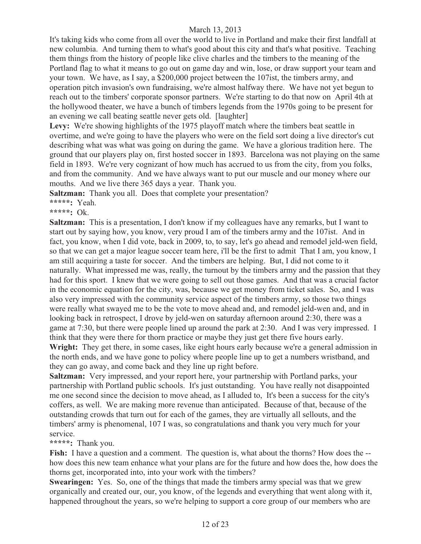It's taking kids who come from all over the world to live in Portland and make their first landfall at new columbia. And turning them to what's good about this city and that's what positive. Teaching them things from the history of people like clive charles and the timbers to the meaning of the Portland flag to what it means to go out on game day and win, lose, or draw support your team and your town. We have, as I say, a \$200,000 project between the 107ist, the timbers army, and operation pitch invasion's own fundraising, we're almost halfway there. We have not yet begun to reach out to the timbers' corporate sponsor partners. We're starting to do that now on April 4th at the hollywood theater, we have a bunch of timbers legends from the 1970s going to be present for an evening we call beating seattle never gets old. [laughter]

Levy: We're showing highlights of the 1975 playoff match where the timbers beat seattle in overtime, and we're going to have the players who were on the field sort doing a live director's cut describing what was what was going on during the game. We have a glorious tradition here. The ground that our players play on, first hosted soccer in 1893. Barcelona was not playing on the same field in 1893. We're very cognizant of how much has accrued to us from the city, from you folks, and from the community. And we have always want to put our muscle and our money where our mouths. And we live there 365 days a year. Thank you.

**Saltzman:** Thank you all. Does that complete your presentation?

# **\*\*\*\*\*:** Yeah.

### **\*\*\*\*\*:** Ok.

**Saltzman:** This is a presentation, I don't know if my colleagues have any remarks, but I want to start out by saying how, you know, very proud I am of the timbers army and the 107ist. And in fact, you know, when I did vote, back in 2009, to, to say, let's go ahead and remodel jeld-wen field, so that we can get a major league soccer team here, i'll be the first to admit That I am, you know, I am still acquiring a taste for soccer. And the timbers are helping. But, I did not come to it naturally. What impressed me was, really, the turnout by the timbers army and the passion that they had for this sport. I knew that we were going to sell out those games. And that was a crucial factor in the economic equation for the city, was, because we get money from ticket sales. So, and I was also very impressed with the community service aspect of the timbers army, so those two things were really what swayed me to be the vote to move ahead and, and remodel jeld-wen and, and in looking back in retrospect, I drove by jeld-wen on saturday afternoon around 2:30, there was a game at 7:30, but there were people lined up around the park at 2:30. And I was very impressed. I think that they were there for thorn practice or maybe they just get there five hours early.

**Wright:** They get there, in some cases, like eight hours early because we're a general admission in the north ends, and we have gone to policy where people line up to get a numbers wristband, and they can go away, and come back and they line up right before.

**Saltzman:** Very impressed, and your report here, your partnership with Portland parks, your partnership with Portland public schools. It's just outstanding. You have really not disappointed me one second since the decision to move ahead, as I alluded to, It's been a success for the city's coffers, as well. We are making more revenue than anticipated. Because of that, because of the outstanding crowds that turn out for each of the games, they are virtually all sellouts, and the timbers' army is phenomenal, 107 I was, so congratulations and thank you very much for your service.

# **\*\*\*\*\*:** Thank you.

Fish: I have a question and a comment. The question is, what about the thorns? How does the -how does this new team enhance what your plans are for the future and how does the, how does the thorns get, incorporated into, into your work with the timbers?

**Swearingen:** Yes. So, one of the things that made the timbers army special was that we grew organically and created our, our, you know, of the legends and everything that went along with it, happened throughout the years, so we're helping to support a core group of our members who are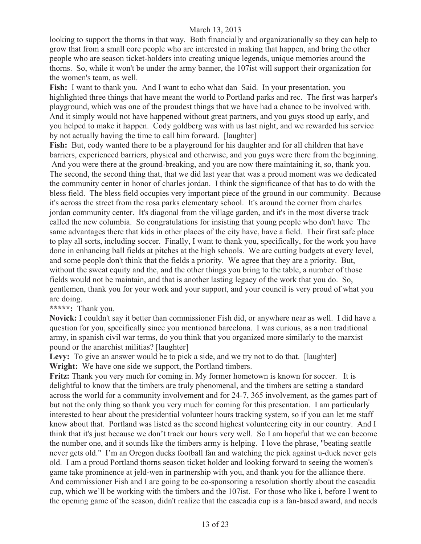looking to support the thorns in that way. Both financially and organizationally so they can help to grow that from a small core people who are interested in making that happen, and bring the other people who are season ticket-holders into creating unique legends, unique memories around the thorns. So, while it won't be under the army banner, the 107ist will support their organization for the women's team, as well.

**Fish:** I want to thank you. And I want to echo what dan Said. In your presentation, you highlighted three things that have meant the world to Portland parks and rec. The first was harper's playground, which was one of the proudest things that we have had a chance to be involved with. And it simply would not have happened without great partners, and you guys stood up early, and you helped to make it happen. Cody goldberg was with us last night, and we rewarded his service by not actually having the time to call him forward. [laughter]

**Fish:** But, cody wanted there to be a playground for his daughter and for all children that have barriers, experienced barriers, physical and otherwise, and you guys were there from the beginning. And you were there at the ground-breaking, and you are now there maintaining it, so, thank you. The second, the second thing that, that we did last year that was a proud moment was we dedicated the community center in honor of charles jordan. I think the significance of that has to do with the bless field. The bless field occupies very important piece of the ground in our community. Because it's across the street from the rosa parks elementary school. It's around the corner from charles jordan community center. It's diagonal from the village garden, and it's in the most diverse track called the new columbia. So congratulations for insisting that young people who don't have The same advantages there that kids in other places of the city have, have a field. Their first safe place to play all sorts, including soccer. Finally, I want to thank you, specifically, for the work you have done in enhancing ball fields at pitches at the high schools. We are cutting budgets at every level, and some people don't think that the fields a priority. We agree that they are a priority. But, without the sweat equity and the, and the other things you bring to the table, a number of those fields would not be maintain, and that is another lasting legacy of the work that you do. So, gentlemen, thank you for your work and your support, and your council is very proud of what you are doing.

# **\*\*\*\*\*:** Thank you.

**Novick:** I couldn't say it better than commissioner Fish did, or anywhere near as well. I did have a question for you, specifically since you mentioned barcelona. I was curious, as a non traditional army, in spanish civil war terms, do you think that you organized more similarly to the marxist pound or the anarchist militias? [laughter]

Levy: To give an answer would be to pick a side, and we try not to do that. [laughter] **Wright:** We have one side we support, the Portland timbers.

**Fritz:** Thank you very much for coming in. My former hometown is known for soccer. It is delightful to know that the timbers are truly phenomenal, and the timbers are setting a standard across the world for a community involvement and for 24-7, 365 involvement, as the games part of but not the only thing so thank you very much for coming for this presentation. I am particularly interested to hear about the presidential volunteer hours tracking system, so if you can let me staff know about that. Portland was listed as the second highest volunteering city in our country. And I think that it's just because we don't track our hours very well. So I am hopeful that we can become the number one, and it sounds like the timbers army is helping. I love the phrase, "beating seattle never gets old." I'm an Oregon ducks football fan and watching the pick against u-duck never gets old. I am a proud Portland thorns season ticket holder and looking forward to seeing the women's game take prominence at jeld-wen in partnership with you, and thank you for the alliance there. And commissioner Fish and I are going to be co-sponsoring a resolution shortly about the cascadia cup, which we'll be working with the timbers and the 107ist. For those who like i, before I went to the opening game of the season, didn't realize that the cascadia cup is a fan-based award, and needs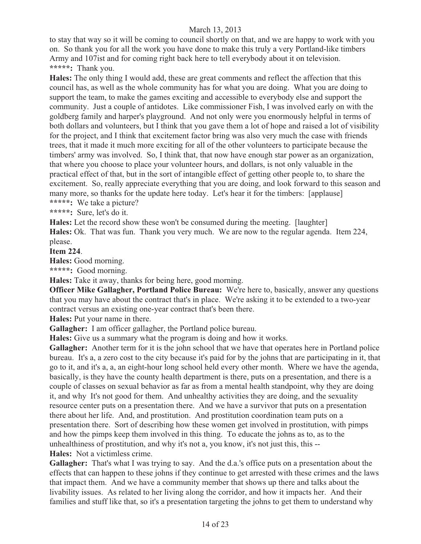to stay that way so it will be coming to council shortly on that, and we are happy to work with you on. So thank you for all the work you have done to make this truly a very Portland-like timbers Army and 107ist and for coming right back here to tell everybody about it on television. **\*\*\*\*\*:** Thank you.

**Hales:** The only thing I would add, these are great comments and reflect the affection that this council has, as well as the whole community has for what you are doing. What you are doing to support the team, to make the games exciting and accessible to everybody else and support the community. Just a couple of antidotes. Like commissioner Fish, I was involved early on with the goldberg family and harper's playground. And not only were you enormously helpful in terms of both dollars and volunteers, but I think that you gave them a lot of hope and raised a lot of visibility for the project, and I think that excitement factor bring was also very much the case with friends trees, that it made it much more exciting for all of the other volunteers to participate because the timbers' army was involved. So, I think that, that now have enough star power as an organization, that where you choose to place your volunteer hours, and dollars, is not only valuable in the practical effect of that, but in the sort of intangible effect of getting other people to, to share the excitement. So, really appreciate everything that you are doing, and look forward to this season and many more, so thanks for the update here today. Let's hear it for the timbers: [applause] **\*\*\*\*\*:** We take a picture?

**\*\*\*\*\*:** Sure, let's do it.

**Hales:** Let the record show these won't be consumed during the meeting. [laughter] **Hales:** Ok. That was fun. Thank you very much. We are now to the regular agenda. Item 224, please.

**Item 224**.

**Hales:** Good morning.

**\*\*\*\*\*:** Good morning.

**Hales:** Take it away, thanks for being here, good morning.

**Officer Mike Gallagher, Portland Police Bureau:** We're here to, basically, answer any questions that you may have about the contract that's in place. We're asking it to be extended to a two-year contract versus an existing one-year contract that's been there.

**Hales:** Put your name in there.

**Gallagher:** I am officer gallagher, the Portland police bureau.

**Hales:** Give us a summary what the program is doing and how it works.

**Gallagher:** Another term for it is the john school that we have that operates here in Portland police bureau. It's a, a zero cost to the city because it's paid for by the johns that are participating in it, that go to it, and it's a, a, an eight-hour long school held every other month. Where we have the agenda, basically, is they have the county health department is there, puts on a presentation, and there is a couple of classes on sexual behavior as far as from a mental health standpoint, why they are doing it, and why It's not good for them. And unhealthy activities they are doing, and the sexuality resource center puts on a presentation there. And we have a survivor that puts on a presentation there about her life. And, and prostitution. And prostitution coordination team puts on a presentation there. Sort of describing how these women get involved in prostitution, with pimps and how the pimps keep them involved in this thing. To educate the johns as to, as to the unhealthiness of prostitution, and why it's not a, you know, it's not just this, this -- **Hales:** Not a victimless crime.

**Gallagher:** That's what I was trying to say. And the d.a.'s office puts on a presentation about the effects that can happen to these johns if they continue to get arrested with these crimes and the laws that impact them. And we have a community member that shows up there and talks about the livability issues. As related to her living along the corridor, and how it impacts her. And their families and stuff like that, so it's a presentation targeting the johns to get them to understand why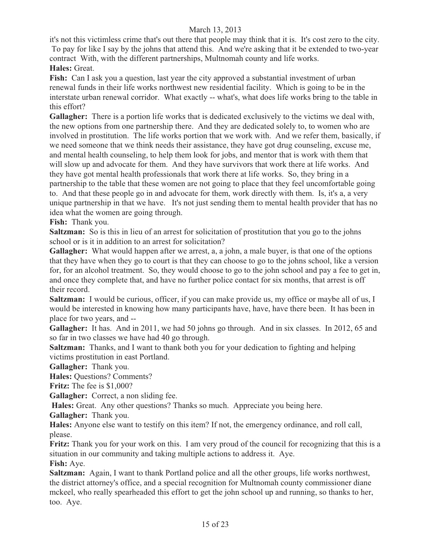it's not this victimless crime that's out there that people may think that it is. It's cost zero to the city. To pay for like I say by the johns that attend this. And we're asking that it be extended to two-year contract With, with the different partnerships, Multnomah county and life works. **Hales:** Great.

**Fish:** Can I ask you a question, last year the city approved a substantial investment of urban renewal funds in their life works northwest new residential facility. Which is going to be in the interstate urban renewal corridor. What exactly -- what's, what does life works bring to the table in this effort?

**Gallagher:** There is a portion life works that is dedicated exclusively to the victims we deal with, the new options from one partnership there. And they are dedicated solely to, to women who are involved in prostitution. The life works portion that we work with. And we refer them, basically, if we need someone that we think needs their assistance, they have got drug counseling, excuse me, and mental health counseling, to help them look for jobs, and mentor that is work with them that will slow up and advocate for them. And they have survivors that work there at life works. And they have got mental health professionals that work there at life works. So, they bring in a partnership to the table that these women are not going to place that they feel uncomfortable going to. And that these people go in and advocate for them, work directly with them. Is, it's a, a very unique partnership in that we have. It's not just sending them to mental health provider that has no idea what the women are going through.

**Fish:** Thank you.

**Saltzman:** So is this in lieu of an arrest for solicitation of prostitution that you go to the johns school or is it in addition to an arrest for solicitation?

**Gallagher:** What would happen after we arrest, a, a john, a male buyer, is that one of the options that they have when they go to court is that they can choose to go to the johns school, like a version for, for an alcohol treatment. So, they would choose to go to the john school and pay a fee to get in, and once they complete that, and have no further police contact for six months, that arrest is off their record.

**Saltzman:** I would be curious, officer, if you can make provide us, my office or maybe all of us, I would be interested in knowing how many participants have, have, have there been. It has been in place for two years, and --

**Gallagher:** It has. And in 2011, we had 50 johns go through. And in six classes. In 2012, 65 and so far in two classes we have had 40 go through.

**Saltzman:** Thanks, and I want to thank both you for your dedication to fighting and helping victims prostitution in east Portland.

**Gallagher:** Thank you.

**Hales:** Questions? Comments?

**Fritz:** The fee is \$1,000?

**Gallagher:** Correct, a non sliding fee.

**Hales:** Great. Any other questions? Thanks so much. Appreciate you being here.

**Gallagher:** Thank you.

**Hales:** Anyone else want to testify on this item? If not, the emergency ordinance, and roll call, please.

**Fritz:** Thank you for your work on this. I am very proud of the council for recognizing that this is a situation in our community and taking multiple actions to address it. Aye. **Fish:** Aye.

**Saltzman:** Again, I want to thank Portland police and all the other groups, life works northwest, the district attorney's office, and a special recognition for Multnomah county commissioner diane mckeel, who really spearheaded this effort to get the john school up and running, so thanks to her, too. Aye.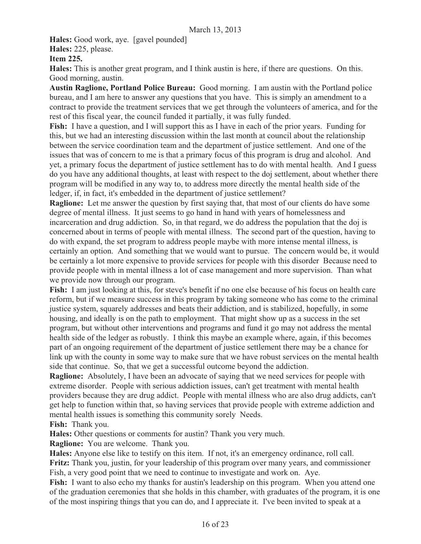**Hales:** Good work, aye. [gavel pounded]

**Hales:** 225, please.

**Item 225.**

**Hales:** This is another great program, and I think austin is here, if there are questions. On this. Good morning, austin.

**Austin Raglione, Portland Police Bureau:** Good morning. I am austin with the Portland police bureau, and I am here to answer any questions that you have. This is simply an amendment to a contract to provide the treatment services that we get through the volunteers of america, and for the rest of this fiscal year, the council funded it partially, it was fully funded.

**Fish:** I have a question, and I will support this as I have in each of the prior years. Funding for this, but we had an interesting discussion within the last month at council about the relationship between the service coordination team and the department of justice settlement. And one of the issues that was of concern to me is that a primary focus of this program is drug and alcohol. And yet, a primary focus the department of justice settlement has to do with mental health. And I guess do you have any additional thoughts, at least with respect to the doj settlement, about whether there program will be modified in any way to, to address more directly the mental health side of the ledger, if, in fact, it's embedded in the department of justice settlement?

**Raglione:** Let me answer the question by first saying that, that most of our clients do have some degree of mental illness. It just seems to go hand in hand with years of homelessness and incarceration and drug addiction. So, in that regard, we do address the population that the doj is concerned about in terms of people with mental illness. The second part of the question, having to do with expand, the set program to address people maybe with more intense mental illness, is certainly an option. And something that we would want to pursue. The concern would be, it would be certainly a lot more expensive to provide services for people with this disorder Because need to provide people with in mental illness a lot of case management and more supervision. Than what we provide now through our program.

**Fish:** I am just looking at this, for steve's benefit if no one else because of his focus on health care reform, but if we measure success in this program by taking someone who has come to the criminal justice system, squarely addresses and beats their addiction, and is stabilized, hopefully, in some housing, and ideally is on the path to employment. That might show up as a success in the set program, but without other interventions and programs and fund it go may not address the mental health side of the ledger as robustly. I think this maybe an example where, again, if this becomes part of an ongoing requirement of the department of justice settlement there may be a chance for link up with the county in some way to make sure that we have robust services on the mental health side that continue. So, that we get a successful outcome beyond the addiction.

**Raglione:** Absolutely, I have been an advocate of saying that we need services for people with extreme disorder. People with serious addiction issues, can't get treatment with mental health providers because they are drug addict. People with mental illness who are also drug addicts, can't get help to function within that, so having services that provide people with extreme addiction and mental health issues is something this community sorely Needs.

**Fish:** Thank you.

**Hales:** Other questions or comments for austin? Thank you very much.

**Raglione:** You are welcome. Thank you.

**Hales:** Anyone else like to testify on this item. If not, it's an emergency ordinance, roll call. **Fritz:** Thank you, justin, for your leadership of this program over many years, and commissioner Fish, a very good point that we need to continue to investigate and work on. Aye.

Fish: I want to also echo my thanks for austin's leadership on this program. When you attend one of the graduation ceremonies that she holds in this chamber, with graduates of the program, it is one of the most inspiring things that you can do, and I appreciate it. I've been invited to speak at a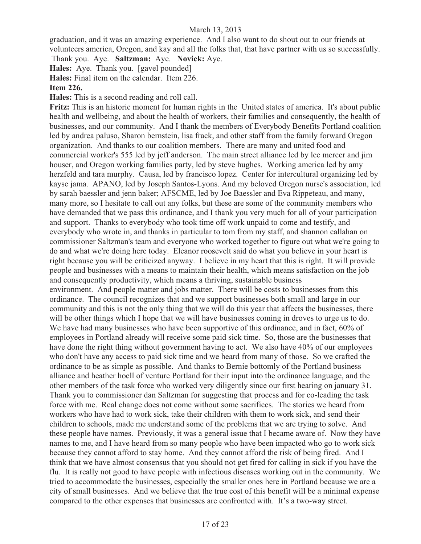graduation, and it was an amazing experience. And I also want to do shout out to our friends at volunteers america, Oregon, and kay and all the folks that, that have partner with us so successfully. Thank you. Aye. **Saltzman:** Aye. **Novick:** Aye.

**Hales:** Aye. Thank you. [gavel pounded]

**Hales:** Final item on the calendar. Item 226.

# **Item 226.**

**Hales:** This is a second reading and roll call.

**Fritz:** This is an historic moment for human rights in the United states of america. It's about public health and wellbeing, and about the health of workers, their families and consequently, the health of businesses, and our community. And I thank the members of Everybody Benefits Portland coalition led by andrea paluso, Sharon bernstein, lisa frack, and other staff from the family forward Oregon organization. And thanks to our coalition members. There are many and united food and commercial worker's 555 led by jeff anderson. The main street alliance led by lee mercer and jim houser, and Oregon working families party, led by steve hughes. Working america led by amy herzfeld and tara murphy. Causa, led by francisco lopez. Center for intercultural organizing led by kayse jama. APANO, led by Joseph Santos-Lyons. And my beloved Oregon nurse's association, led by sarah baessler and jenn baker; AFSCME, led by Joe Baessler and Eva Rippeteau, and many, many more, so I hesitate to call out any folks, but these are some of the community members who have demanded that we pass this ordinance, and I thank you very much for all of your participation and support. Thanks to everybody who took time off work unpaid to come and testify, and everybody who wrote in, and thanks in particular to tom from my staff, and shannon callahan on commissioner Saltzman's team and everyone who worked together to figure out what we're going to do and what we're doing here today. Eleanor roosevelt said do what you believe in your heart is right because you will be criticized anyway. I believe in my heart that this is right. It will provide people and businesses with a means to maintain their health, which means satisfaction on the job and consequently productivity, which means a thriving, sustainable business environment. And people matter and jobs matter. There will be costs to businesses from this ordinance. The council recognizes that and we support businesses both small and large in our community and this is not the only thing that we will do this year that affects the businesses, there

will be other things which I hope that we will have businesses coming in droves to urge us to do. We have had many businesses who have been supportive of this ordinance, and in fact,  $60\%$  of employees in Portland already will receive some paid sick time. So, those are the businesses that have done the right thing without government having to act. We also have 40% of our employees who don't have any access to paid sick time and we heard from many of those. So we crafted the ordinance to be as simple as possible. And thanks to Bernie bottomly of the Portland business alliance and heather hoell of venture Portland for their input into the ordinance language, and the other members of the task force who worked very diligently since our first hearing on january 31. Thank you to commissioner dan Saltzman for suggesting that process and for co-leading the task force with me. Real change does not come without some sacrifices. The stories we heard from workers who have had to work sick, take their children with them to work sick, and send their children to schools, made me understand some of the problems that we are trying to solve. And these people have names. Previously, it was a general issue that I became aware of. Now they have names to me, and I have heard from so many people who have been impacted who go to work sick because they cannot afford to stay home. And they cannot afford the risk of being fired. And I think that we have almost consensus that you should not get fired for calling in sick if you have the flu. It is really not good to have people with infectious diseases working out in the community. We tried to accommodate the businesses, especially the smaller ones here in Portland because we are a city of small businesses. And we believe that the true cost of this benefit will be a minimal expense compared to the other expenses that businesses are confronted with. It's a two-way street.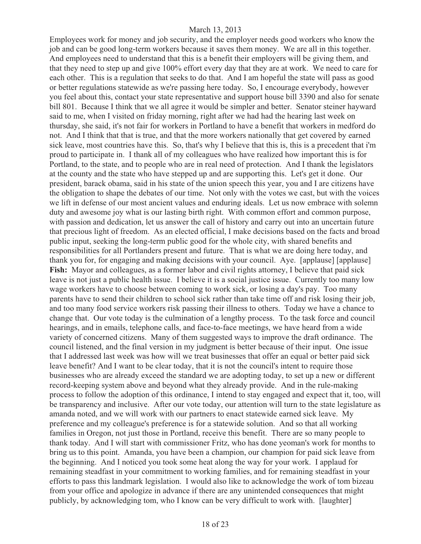Employees work for money and job security, and the employer needs good workers who know the job and can be good long-term workers because it saves them money. We are all in this together. And employees need to understand that this is a benefit their employers will be giving them, and that they need to step up and give 100% effort every day that they are at work. We need to care for each other. This is a regulation that seeks to do that. And I am hopeful the state will pass as good or better regulations statewide as we're passing here today. So, I encourage everybody, however you feel about this, contact your state representative and support house bill 3390 and also for senate bill 801. Because I think that we all agree it would be simpler and better. Senator steiner hayward said to me, when I visited on friday morning, right after we had had the hearing last week on thursday, she said, it's not fair for workers in Portland to have a benefit that workers in medford do not. And I think that that is true, and that the more workers nationally that get covered by earned sick leave, most countries have this. So, that's why I believe that this is, this is a precedent that i'm proud to participate in. I thank all of my colleagues who have realized how important this is for Portland, to the state, and to people who are in real need of protection. And I thank the legislators at the county and the state who have stepped up and are supporting this. Let's get it done. Our president, barack obama, said in his state of the union speech this year, you and I are citizens have the obligation to shape the debates of our time. Not only with the votes we cast, but with the voices we lift in defense of our most ancient values and enduring ideals. Let us now embrace with solemn duty and awesome joy what is our lasting birth right. With common effort and common purpose, with passion and dedication, let us answer the call of history and carry out into an uncertain future that precious light of freedom. As an elected official, I make decisions based on the facts and broad public input, seeking the long-term public good for the whole city, with shared benefits and responsibilities for all Portlanders present and future. That is what we are doing here today, and thank you for, for engaging and making decisions with your council. Aye. [applause] [applause] Fish: Mayor and colleagues, as a former labor and civil rights attorney, I believe that paid sick leave is not just a public health issue. I believe it is a social justice issue. Currently too many low wage workers have to choose between coming to work sick, or losing a day's pay. Too many parents have to send their children to school sick rather than take time off and risk losing their job, and too many food service workers risk passing their illness to others. Today we have a chance to change that. Our vote today is the culmination of a lengthy process. To the task force and council hearings, and in emails, telephone calls, and face-to-face meetings, we have heard from a wide variety of concerned citizens. Many of them suggested ways to improve the draft ordinance. The council listened, and the final version in my judgment is better because of their input. One issue that I addressed last week was how will we treat businesses that offer an equal or better paid sick leave benefit? And I want to be clear today, that it is not the council's intent to require those businesses who are already exceed the standard we are adopting today, to set up a new or different record-keeping system above and beyond what they already provide. And in the rule-making process to follow the adoption of this ordinance, I intend to stay engaged and expect that it, too, will be transparency and inclusive. After our vote today, our attention will turn to the state legislature as amanda noted, and we will work with our partners to enact statewide earned sick leave. My preference and my colleague's preference is for a statewide solution. And so that all working families in Oregon, not just those in Portland, receive this benefit. There are so many people to thank today. And I will start with commissioner Fritz, who has done yeoman's work for months to bring us to this point. Amanda, you have been a champion, our champion for paid sick leave from the beginning. And I noticed you took some heat along the way for your work. I applaud for remaining steadfast in your commitment to working families, and for remaining steadfast in your efforts to pass this landmark legislation. I would also like to acknowledge the work of tom bizeau from your office and apologize in advance if there are any unintended consequences that might publicly, by acknowledging tom, who I know can be very difficult to work with. [laughter]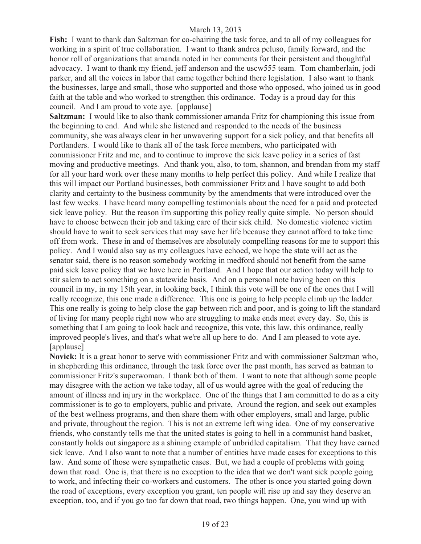**Fish:** I want to thank dan Saltzman for co-chairing the task force, and to all of my colleagues for working in a spirit of true collaboration. I want to thank andrea peluso, family forward, and the honor roll of organizations that amanda noted in her comments for their persistent and thoughtful advocacy. I want to thank my friend, jeff anderson and the uscw555 team. Tom chamberlain, jodi parker, and all the voices in labor that came together behind there legislation. I also want to thank the businesses, large and small, those who supported and those who opposed, who joined us in good faith at the table and who worked to strengthen this ordinance. Today is a proud day for this council. And I am proud to vote aye. [applause]

**Saltzman:** I would like to also thank commissioner amanda Fritz for championing this issue from the beginning to end. And while she listened and responded to the needs of the business community, she was always clear in her unwavering support for a sick policy, and that benefits all Portlanders. I would like to thank all of the task force members, who participated with commissioner Fritz and me, and to continue to improve the sick leave policy in a series of fast moving and productive meetings. And thank you, also, to tom, shannon, and brendan from my staff for all your hard work over these many months to help perfect this policy. And while I realize that this will impact our Portland businesses, both commissioner Fritz and I have sought to add both clarity and certainty to the business community by the amendments that were introduced over the last few weeks. I have heard many compelling testimonials about the need for a paid and protected sick leave policy. But the reason i'm supporting this policy really quite simple. No person should have to choose between their job and taking care of their sick child. No domestic violence victim should have to wait to seek services that may save her life because they cannot afford to take time off from work. These in and of themselves are absolutely compelling reasons for me to support this policy. And I would also say as my colleagues have echoed, we hope the state will act as the senator said, there is no reason somebody working in medford should not benefit from the same paid sick leave policy that we have here in Portland. And I hope that our action today will help to stir salem to act something on a statewide basis. And on a personal note having been on this council in my, in my 15th year, in looking back, I think this vote will be one of the ones that I will really recognize, this one made a difference. This one is going to help people climb up the ladder. This one really is going to help close the gap between rich and poor, and is going to lift the standard of living for many people right now who are struggling to make ends meet every day. So, this is something that I am going to look back and recognize, this vote, this law, this ordinance, really improved people's lives, and that's what we're all up here to do. And I am pleased to vote aye. [applause]

**Novick:** It is a great honor to serve with commissioner Fritz and with commissioner Saltzman who, in shepherding this ordinance, through the task force over the past month, has served as batman to commissioner Fritz's superwoman. I thank both of them. I want to note that although some people may disagree with the action we take today, all of us would agree with the goal of reducing the amount of illness and injury in the workplace. One of the things that I am committed to do as a city commissioner is to go to employers, public and private, Around the region, and seek out examples of the best wellness programs, and then share them with other employers, small and large, public and private, throughout the region. This is not an extreme left wing idea. One of my conservative friends, who constantly tells me that the united states is going to hell in a communist hand basket, constantly holds out singapore as a shining example of unbridled capitalism. That they have earned sick leave. And I also want to note that a number of entities have made cases for exceptions to this law. And some of those were sympathetic cases. But, we had a couple of problems with going down that road. One is, that there is no exception to the idea that we don't want sick people going to work, and infecting their co-workers and customers. The other is once you started going down the road of exceptions, every exception you grant, ten people will rise up and say they deserve an exception, too, and if you go too far down that road, two things happen. One, you wind up with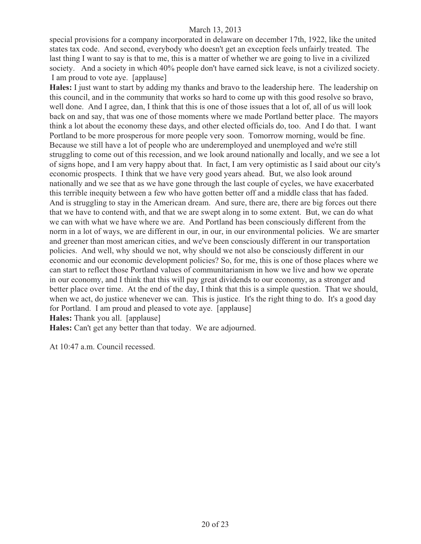special provisions for a company incorporated in delaware on december 17th, 1922, like the united states tax code. And second, everybody who doesn't get an exception feels unfairly treated. The last thing I want to say is that to me, this is a matter of whether we are going to live in a civilized society. And a society in which 40% people don't have earned sick leave, is not a civilized society. I am proud to vote aye. [applause]

**Hales:** I just want to start by adding my thanks and bravo to the leadership here. The leadership on this council, and in the community that works so hard to come up with this good resolve so bravo, well done. And I agree, dan, I think that this is one of those issues that a lot of, all of us will look back on and say, that was one of those moments where we made Portland better place. The mayors think a lot about the economy these days, and other elected officials do, too. And I do that. I want Portland to be more prosperous for more people very soon. Tomorrow morning, would be fine. Because we still have a lot of people who are underemployed and unemployed and we're still struggling to come out of this recession, and we look around nationally and locally, and we see a lot of signs hope, and I am very happy about that. In fact, I am very optimistic as I said about our city's economic prospects. I think that we have very good years ahead. But, we also look around nationally and we see that as we have gone through the last couple of cycles, we have exacerbated this terrible inequity between a few who have gotten better off and a middle class that has faded. And is struggling to stay in the American dream. And sure, there are, there are big forces out there that we have to contend with, and that we are swept along in to some extent. But, we can do what we can with what we have where we are. And Portland has been consciously different from the norm in a lot of ways, we are different in our, in our, in our environmental policies. We are smarter and greener than most american cities, and we've been consciously different in our transportation policies. And well, why should we not, why should we not also be consciously different in our economic and our economic development policies? So, for me, this is one of those places where we can start to reflect those Portland values of communitarianism in how we live and how we operate in our economy, and I think that this will pay great dividends to our economy, as a stronger and better place over time. At the end of the day, I think that this is a simple question. That we should, when we act, do justice whenever we can. This is justice. It's the right thing to do. It's a good day for Portland. I am proud and pleased to vote aye. [applause] **Hales:** Thank you all. [applause]

**Hales:** Can't get any better than that today. We are adjourned.

At 10:47 a.m. Council recessed.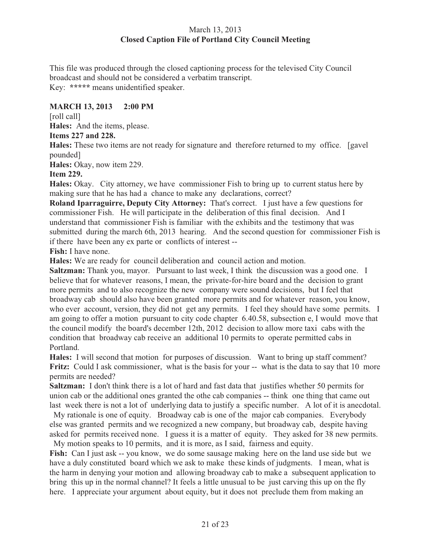# March 13, 2013 **Closed Caption File of Portland City Council Meeting**

This file was produced through the closed captioning process for the televised City Council broadcast and should not be considered a verbatim transcript. Key: **\*\*\*\*\*** means unidentified speaker.

# **MARCH 13, 2013 2:00 PM**

[roll call]

**Hales:** And the items, please.

**Items 227 and 228.**

**Hales:** These two items are not ready for signature and therefore returned to my office. [gavel pounded]

**Hales:** Okay, now item 229.

**Item 229.** 

**Hales:** Okay. City attorney, we have commissioner Fish to bring up to current status here by making sure that he has had a chance to make any declarations, correct?

**Roland Iparraguirre, Deputy City Attorney:** That's correct. I just have a few questions for commissioner Fish. He will participate in the deliberation of this final decision. And I understand that commissioner Fish is familiar with the exhibits and the testimony that was submitted during the march 6th, 2013 hearing. And the second question for commissioner Fish is if there have been any ex parte or conflicts of interest --

**Fish:** I have none.

**Hales:** We are ready for council deliberation and council action and motion.

**Saltzman:** Thank you, mayor. Pursuant to last week, I think the discussion was a good one. I believe that for whatever reasons, I mean, the private-for-hire board and the decision to grant more permits and to also recognize the new company were sound decisions, but I feel that broadway cab should also have been granted more permits and for whatever reason, you know, who ever account, version, they did not get any permits. I feel they should have some permits. I am going to offer a motion pursuant to city code chapter 6.40.58, subsection e, I would move that the council modify the board's december 12th, 2012 decision to allow more taxi cabs with the condition that broadway cab receive an additional 10 permits to operate permitted cabs in Portland.

**Hales:** I will second that motion for purposes of discussion. Want to bring up staff comment? **Fritz:** Could I ask commissioner, what is the basis for your -- what is the data to say that 10 more permits are needed?

**Saltzman:** I don't think there is a lot of hard and fast data that justifies whether 50 permits for union cab or the additional ones granted the othe cab companies -- think one thing that came out last week there is not a lot of underlying data to justify a specific number. A lot of it is anecdotal.

 My rationale is one of equity. Broadway cab is one of the major cab companies. Everybody else was granted permits and we recognized a new company, but broadway cab, despite having asked for permits received none. I guess it is a matter of equity. They asked for 38 new permits. My motion speaks to 10 permits, and it is more, as I said, fairness and equity.

Fish: Can I just ask -- you know, we do some sausage making here on the land use side but we have a duly constituted board which we ask to make these kinds of judgments. I mean, what is the harm in denying your motion and allowing broadway cab to make a subsequent application to bring this up in the normal channel? It feels a little unusual to be just carving this up on the fly here. I appreciate your argument about equity, but it does not preclude them from making an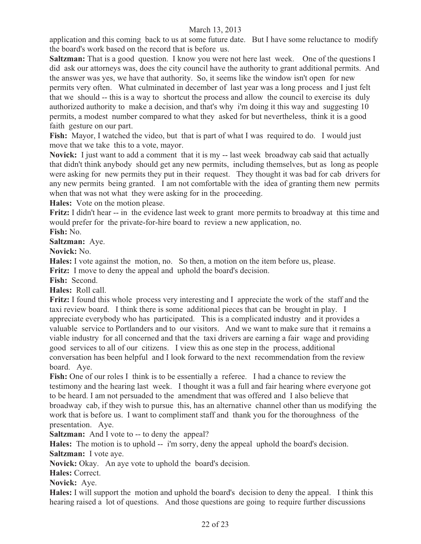application and this coming back to us at some future date. But I have some reluctance to modify the board's work based on the record that is before us.

**Saltzman:** That is a good question. I know you were not here last week. One of the questions I did ask our attorneys was, does the city council have the authority to grant additional permits. And the answer was yes, we have that authority. So, it seems like the window isn't open for new permits very often. What culminated in december of last year was a long process and I just felt that we should -- this is a way to shortcut the process and allow the council to exercise its duly authorized authority to make a decision, and that's why i'm doing it this way and suggesting 10 permits, a modest number compared to what they asked for but nevertheless, think it is a good faith gesture on our part.

**Fish:** Mayor, I watched the video, but that is part of what I was required to do. I would just move that we take this to a vote, mayor.

**Novick:** I just want to add a comment that it is my -- last week broadway cab said that actually that didn't think anybody should get any new permits, including themselves, but as long as people were asking for new permits they put in their request. They thought it was bad for cab drivers for any new permits being granted. I am not comfortable with the idea of granting them new permits when that was not what they were asking for in the proceeding.

**Hales:** Vote on the motion please.

**Fritz:** I didn't hear -- in the evidence last week to grant more permits to broadway at this time and would prefer for the private-for-hire board to review a new application, no.

**Fish:** No.

**Saltzman:** Aye.

**Novick:** No.

**Hales:** I vote against the motion, no. So then, a motion on the item before us, please.

**Fritz:** I move to deny the appeal and uphold the board's decision.

**Fish:** Second.

**Hales:** Roll call.

**Fritz:** I found this whole process very interesting and I appreciate the work of the staff and the taxi review board. I think there is some additional pieces that can be brought in play. I appreciate everybody who has participated. This is a complicated industry and it provides a valuable service to Portlanders and to our visitors. And we want to make sure that it remains a viable industry for all concerned and that the taxi drivers are earning a fair wage and providing good services to all of our citizens. I view this as one step in the process, additional conversation has been helpful and I look forward to the next recommendation from the review board. Aye.

**Fish:** One of our roles I think is to be essentially a referee. I had a chance to review the testimony and the hearing last week. I thought it was a full and fair hearing where everyone got to be heard. I am not persuaded to the amendment that was offered and I also believe that broadway cab, if they wish to pursue this, has an alternative channel other than us modifying the work that is before us. I want to compliment staff and thank you for the thoroughness of the presentation. Aye.

**Saltzman:** And I vote to -- to deny the appeal?

**Hales:** The motion is to uphold -- i'm sorry, deny the appeal uphold the board's decision. **Saltzman:** I vote aye.

**Novick:** Okay. An aye vote to uphold the board's decision.

**Hales:** Correct.

**Novick:** Aye.

**Hales:** I will support the motion and uphold the board's decision to deny the appeal. I think this hearing raised a lot of questions. And those questions are going to require further discussions